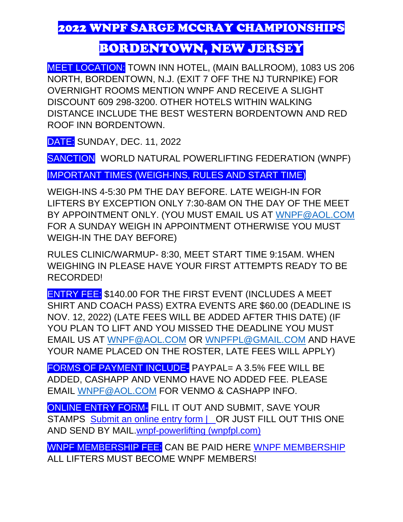2022 WNPF SARGE MCCRAY CHAMPIONSHIPS

## BORDENTOWN, NEW JERSEY

MEET LOCATION: TOWN INN HOTEL, (MAIN BALLROOM), 1083 US 206 NORTH, BORDENTOWN, N.J. (EXIT 7 OFF THE NJ TURNPIKE) FOR OVERNIGHT ROOMS MENTION WNPF AND RECEIVE A SLIGHT DISCOUNT 609 298-3200. OTHER HOTELS WITHIN WALKING DISTANCE INCLUDE THE BEST WESTERN BORDENTOWN AND RED ROOF INN BORDENTOWN.

DATE: SUNDAY, DEC. 11, 2022

SANCTION WORLD NATURAL POWERLIFTING FEDERATION (WNPF)

IMPORTANT TIMES (WEIGH-INS, RULES AND START TIME)

WEIGH-INS 4-5:30 PM THE DAY BEFORE. LATE WEIGH-IN FOR LIFTERS BY EXCEPTION ONLY 7:30-8AM ON THE DAY OF THE MEET BY APPOINTMENT ONLY. (YOU MUST EMAIL US AT [WNPF@AOL.COM](mailto:WNPF@AOL.COM) FOR A SUNDAY WEIGH IN APPOINTMENT OTHERWISE YOU MUST WEIGH-IN THE DAY BEFORE)

RULES CLINIC/WARMUP- 8:30, MEET START TIME 9:15AM. WHEN WEIGHING IN PLEASE HAVE YOUR FIRST ATTEMPTS READY TO BE RECORDED!

ENTRY FEE: \$140.00 FOR THE FIRST EVENT (INCLUDES A MEET SHIRT AND COACH PASS) EXTRA EVENTS ARE \$60.00 (DEADLINE IS NOV. 12, 2022) (LATE FEES WILL BE ADDED AFTER THIS DATE) (IF YOU PLAN TO LIFT AND YOU MISSED THE DEADLINE YOU MUST EMAIL US AT [WNPF@AOL.COM](mailto:WNPF@AOL.COM) OR [WNPFPL@GMAIL.COM](mailto:WNPFPL@GMAIL.COM) AND HAVE YOUR NAME PLACED ON THE ROSTER, LATE FEES WILL APPLY)

FORMS OF PAYMENT INCLUDE- PAYPAL= A 3.5% FEE WILL BE ADDED, CASHAPP AND VENMO HAVE NO ADDED FEE. PLEASE EMAIL [WNPF@AOL.COM](mailto:WNPF@AOL.COM) FOR VENMO & CASHAPP INFO.

ONLINE ENTRY FORM- FILL IT OUT AND SUBMIT, SAVE YOUR STAMPS Submit an online entry form | OR JUST FILL OUT THIS ONE [AND SEND BY MAIL.wnpf-powerlifting \(wnpfpl.com\)](https://www.wnpfpl.com/submit-an-online-entry-form)

WNPF MEMBERSHIP FEE: CAN BE PAID HERE [WNPF MEMBERSHIP](https://www.wnpfpl.com/online-membership-form) ALL LIFTERS MUST BECOME WNPF MEMBERS!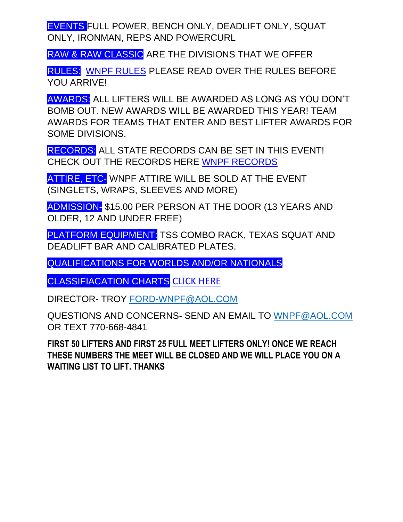EVENTS FULL POWER, BENCH ONLY, DEADLIFT ONLY, SQUAT ONLY, IRONMAN, REPS AND POWERCURL

RAW & RAW CLASSIC ARE THE DIVISIONS THAT WE OFFER

RULES: [WNPF RULES](https://e1736ca4-7373-44b7-b522-77e81279f2d7.filesusr.com/ugd/6a501f_14f6127424fb4b759e8c48d9b84a761f.pdf) PLEASE READ OVER THE RULES BEFORE YOU ARRIVE!

AWARDS: ALL LIFTERS WILL BE AWARDED AS LONG AS YOU DON'T BOMB OUT. NEW AWARDS WILL BE AWARDED THIS YEAR! TEAM AWARDS FOR TEAMS THAT ENTER AND BEST LIFTER AWARDS FOR SOME DIVISIONS.

RECORDS: ALL STATE RECORDS CAN BE SET IN THIS EVENT! CHECK OUT THE RECORDS HERE [WNPF RECORDS](https://www.wnpfpl.com/state-records) 

ATTIRE, ETC- WNPF ATTIRE WILL BE SOLD AT THE EVENT (SINGLETS, WRAPS, SLEEVES AND MORE)

ADMISSION- \$15.00 PER PERSON AT THE DOOR (13 YEARS AND OLDER, 12 AND UNDER FREE)

PLATFORM EQUIPMENT: TSS COMBO RACK, TEXAS SQUAT AND DEADLIFT BAR AND CALIBRATED PLATES.

QUALIFICATIONS FOR WORLDS AND/OR NATIONALS

CLASSIFIACATION CHARTS [CLICK HERE](https://e1736ca4-7373-44b7-b522-77e81279f2d7.filesusr.com/ugd/6a501f_425f6e01a15c439f9bdcad92ba6f900c.pdf)

DIRECTOR- TROY [FORD-WNPF@AOL.COM](mailto:FORD-WNPF@AOL.COM)

QUESTIONS AND CONCERNS- SEND AN EMAIL TO [WNPF@AOL.COM](mailto:WNPF@AOL.COM) OR TEXT 770-668-4841

**FIRST 50 LIFTERS AND FIRST 25 FULL MEET LIFTERS ONLY! ONCE WE REACH THESE NUMBERS THE MEET WILL BE CLOSED AND WE WILL PLACE YOU ON A WAITING LIST TO LIFT. THANKS**